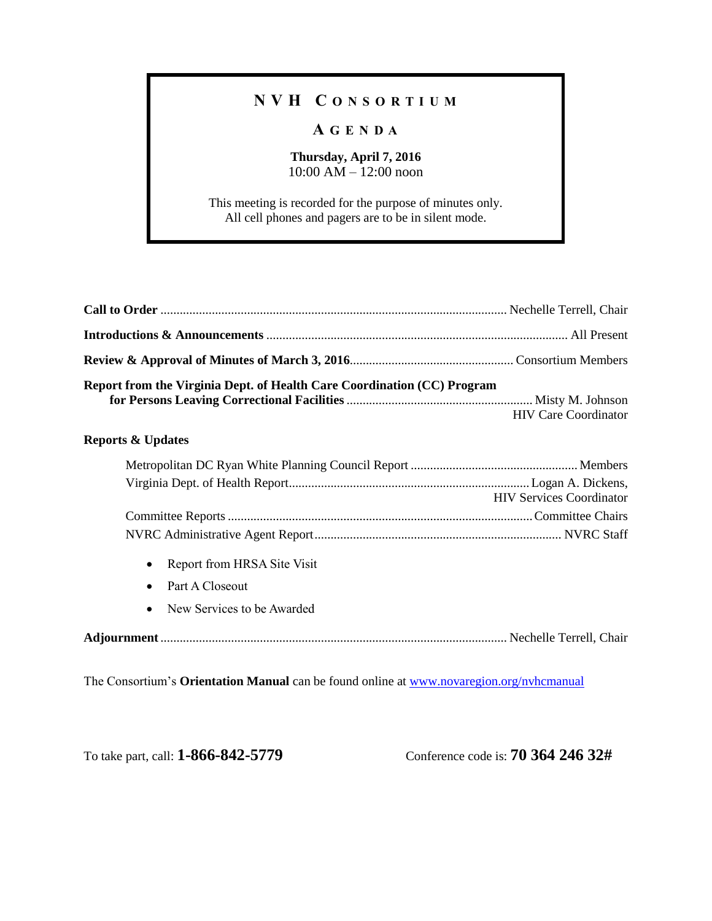## **N V H C O N S O R T I U M**

## **A G E N D A**

## **Thursday, April 7, 2016** 10:00 AM – 12:00 noon

This meeting is recorded for the purpose of minutes only. All cell phones and pagers are to be in silent mode.

| Report from the Virginia Dept. of Health Care Coordination (CC) Program | <b>HIV Care Coordinator</b>     |
|-------------------------------------------------------------------------|---------------------------------|
| <b>Reports &amp; Updates</b>                                            |                                 |
|                                                                         | <b>HIV Services Coordinator</b> |
|                                                                         |                                 |
|                                                                         |                                 |
| Report from HRSA Site Visit<br>$\bullet$                                |                                 |
| Part A Closeout<br>$\bullet$                                            |                                 |
| New Services to be Awarded                                              |                                 |
|                                                                         |                                 |

The Consortium's **Orientation Manual** can be found online at [www.novaregion.org/nvhcmanual](http://www.novaregion.org/nvhcmanual)

To take part, call: **1-866-842-5779** Conference code is: **70 364 246 32#**